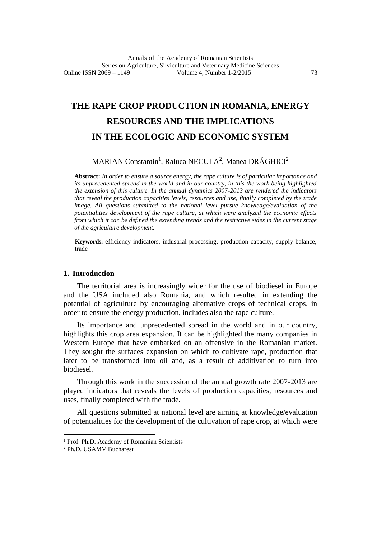# **THE RAPE CROP PRODUCTION IN ROMANIA, ENERGY RESOURCES AND THE IMPLICATIONS IN THE ECOLOGIC AND ECONOMIC SYSTEM**

# MARIAN Constantin<sup>1</sup>, Raluca NECULA<sup>2</sup>, Manea DRĂGHICI<sup>2</sup>

**Abstract:** *In order to ensure a source energy, the rape culture is of particular importance and its unprecedented spread in the world and in our country, in this the work being highlighted the extension of this culture. In the annual dynamics 2007-2013 are rendered the indicators that reveal the production capacities levels, resources and use, finally completed by the trade image. All questions submitted to the national level pursue knowledge/evaluation of the potentialities development of the rape culture, at which were analyzed the economic effects from which it can be defined the extending trends and the restrictive sides in the current stage of the agriculture development.*

**Keywords:** efficiency indicators, industrial processing, production capacity, supply balance, trade

## **1. Introduction**

The territorial area is increasingly wider for the use of biodiesel in Europe and the USA included also Romania, and which resulted in extending the potential of agriculture by encouraging alternative crops of technical crops, in order to ensure the energy production, includes also the rape culture.

Its importance and unprecedented spread in the world and in our country, highlights this crop area expansion. It can be highlighted the many companies in Western Europe that have embarked on an offensive in the Romanian market. They sought the surfaces expansion on which to cultivate rape, production that later to be transformed into oil and, as a result of additivation to turn into biodiesel.

Through this work in the succession of the annual growth rate 2007-2013 are played indicators that reveals the levels of production capacities, resources and uses, finally completed with the trade.

All questions submitted at national level are aiming at knowledge/evaluation of potentialities for the development of the cultivation of rape crop, at which were

 $\overline{a}$ 

<sup>&</sup>lt;sup>1</sup> Prof. Ph.D. Academy of Romanian Scientists

<sup>2</sup> Ph.D. USAMV Bucharest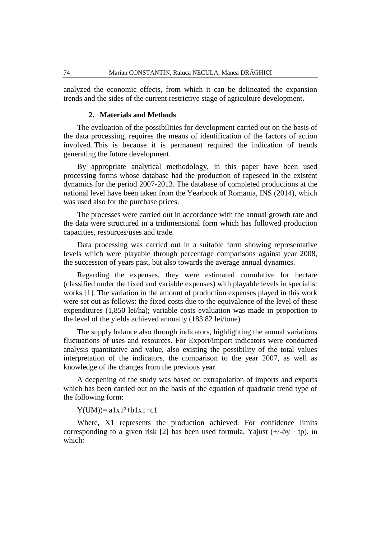analyzed the economic effects, from which it can be delineated the expansion trends and the sides of the current restrictive stage of agriculture development.

## **2. Materials and Methods**

The evaluation of the possibilities for development carried out on the basis of the data processing, requires the means of identification of the factors of action involved. This is because it is permanent required the indication of trends generating the future development.

By appropriate analytical methodology, in this paper have been used processing forms whose database had the production of rapeseed in the existent dynamics for the period 2007-2013. The database of completed productions at the national level have been taken from the Yearbook of Romania, INS (2014), which was used also for the purchase prices.

The processes were carried out in accordance with the annual growth rate and the data were structured in a tridimensional form which has followed production capacities, resources/uses and trade.

Data processing was carried out in a suitable form showing representative levels which were playable through percentage comparisons against year 2008, the succession of years past, but also towards the average annual dynamics.

Regarding the expenses, they were estimated cumulative for hectare (classified under the fixed and variable expenses) with playable levels in specialist works [1]. The variation in the amount of production expenses played in this work were set out as follows: the fixed costs due to the equivalence of the level of these expenditures (1,850 lei/ha); variable costs evaluation was made in proportion to the level of the yields achieved annually (183.82 lei/tone).

The supply balance also through indicators, highlighting the annual variations fluctuations of uses and resources. For Export/import indicators were conducted analysis quantitative and value, also existing the possibility of the total values interpretation of the indicators, the comparison to the year 2007, as well as knowledge of the changes from the previous year.

A deepening of the study was based on extrapolation of imports and exports which has been carried out on the basis of the equation of quadratic trend type of the following form:

 $Y(UM) = a1x1^{2}+b1x1+c1$ 

Where, X1 represents the production achieved. For confidence limits corresponding to a given risk [2] has been used formula, Yajust  $(+/-\delta$ y · tp), in which: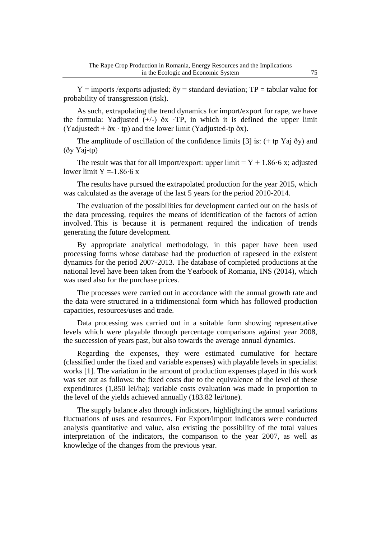$Y =$  imports /exports adjusted;  $\delta y =$  standard deviation; TP = tabular value for probability of transgression (risk).

As such, extrapolating the trend dynamics for import/export for rape, we have the formula: Yadjusted  $(+/-)$   $\delta$ x ·TP, in which it is defined the upper limit (Yadjustedt +  $\delta x \cdot tp$ ) and the lower limit (Yadjusted-tp  $\delta x$ ).

The amplitude of oscillation of the confidence limits [3] is:  $(+$  tp Yaj  $\delta$ y) and (ðy Yaj-tp)

The result was that for all import/export: upper limit  $= Y + 1.8666$  x; adjusted lower limit  $Y = -1.8666$  x

The results have pursued the extrapolated production for the year 2015, which was calculated as the average of the last 5 years for the period 2010-2014.

The evaluation of the possibilities for development carried out on the basis of the data processing, requires the means of identification of the factors of action involved. This is because it is permanent required the indication of trends generating the future development.

By appropriate analytical methodology, in this paper have been used processing forms whose database had the production of rapeseed in the existent dynamics for the period 2007-2013. The database of completed productions at the national level have been taken from the Yearbook of Romania, INS (2014), which was used also for the purchase prices.

The processes were carried out in accordance with the annual growth rate and the data were structured in a tridimensional form which has followed production capacities, resources/uses and trade.

Data processing was carried out in a suitable form showing representative levels which were playable through percentage comparisons against year 2008, the succession of years past, but also towards the average annual dynamics.

Regarding the expenses, they were estimated cumulative for hectare (classified under the fixed and variable expenses) with playable levels in specialist works [1]. The variation in the amount of production expenses played in this work was set out as follows: the fixed costs due to the equivalence of the level of these expenditures (1,850 lei/ha); variable costs evaluation was made in proportion to the level of the yields achieved annually (183.82 lei/tone).

The supply balance also through indicators, highlighting the annual variations fluctuations of uses and resources. For Export/import indicators were conducted analysis quantitative and value, also existing the possibility of the total values interpretation of the indicators, the comparison to the year 2007, as well as knowledge of the changes from the previous year.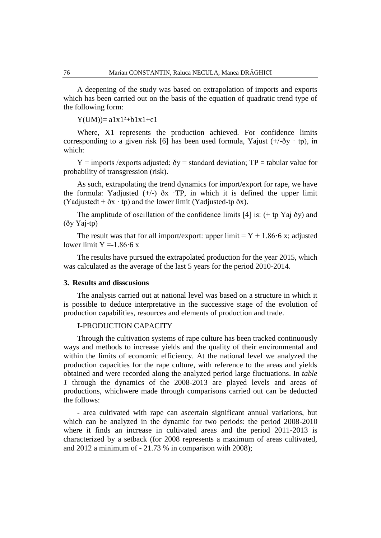A deepening of the study was based on extrapolation of imports and exports which has been carried out on the basis of the equation of quadratic trend type of the following form:

 $Y(UM) = a1x1^2 + b1x1 + c1$ 

Where, X1 represents the production achieved. For confidence limits corresponding to a given risk [6] has been used formula, Yajust  $(+/-\delta y + tp)$ , in which:

 $Y =$  imports /exports adjusted;  $\delta y =$  standard deviation; TP = tabular value for probability of transgression (risk).

As such, extrapolating the trend dynamics for import/export for rape, we have the formula: Yadjusted  $(+/-)$   $\delta$ x ·TP, in which it is defined the upper limit (Yadjustedt +  $\delta$ x · tp) and the lower limit (Yadjusted-tp  $\delta$ x).

The amplitude of oscillation of the confidence limits [4] is: (+ tp Yaj ðy) and (ðy Yaj-tp)

The result was that for all import/export: upper limit =  $Y + 1.8666$  x; adjusted lower limit  $Y = -1.8666$  x

The results have pursued the extrapolated production for the year 2015, which was calculated as the average of the last 5 years for the period 2010-2014.

## **3. Results and disscusions**

The analysis carried out at national level was based on a structure in which it is possible to deduce interpretative in the successive stage of the evolution of production capabilities, resources and elements of production and trade.

# **I**-PRODUCTION CAPACITY

Through the cultivation systems of rape culture has been tracked continuously ways and methods to increase yields and the quality of their environmental and within the limits of economic efficiency. At the national level we analyzed the production capacities for the rape culture, with reference to the areas and yields obtained and were recorded along the analyzed period large fluctuations. In *table 1* through the dynamics of the 2008-2013 are played levels and areas of productions, whichwere made through comparisons carried out can be deducted the follows:

- area cultivated with rape can ascertain significant annual variations, but which can be analyzed in the dynamic for two periods: the period 2008-2010 where it finds an increase in cultivated areas and the period 2011-2013 is characterized by a setback (for 2008 represents a maximum of areas cultivated, and  $2012$  a minimum of  $-21.73$  % in comparison with  $2008$ );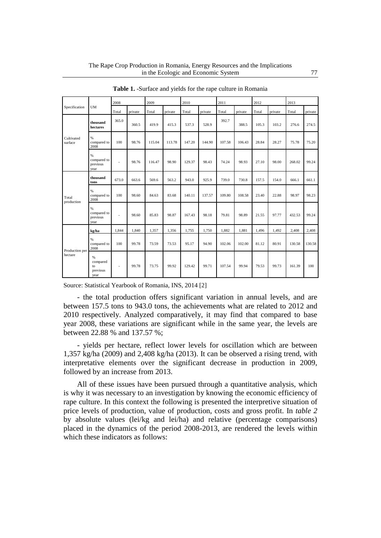|                           |                                            | 2008                     |         | 2009   |         | 2010   |         | 2011   |         | 2012  |         | 2013   |         |
|---------------------------|--------------------------------------------|--------------------------|---------|--------|---------|--------|---------|--------|---------|-------|---------|--------|---------|
| Specification             | <b>UM</b>                                  | Total                    | private | Total  | private | Total  | private | Total  | private | Total | private | Total  | private |
| Cultivated<br>surface     | thousand<br>hectares                       | 365.0                    | 360.5   | 419.9  | 415.3   | 537.3  | 528.9   | 392.7  | 388.5   | 105.3 | 103.2   | 276.6  | 274.5   |
|                           | %<br>compared to<br>2008                   | 100                      | 98.76   | 115.04 | 113.78  | 147.20 | 144.90  | 107.58 | 106.43  | 28.84 | 28.27   | 75.78  | 75.20   |
|                           | $\%$<br>compared to<br>previous<br>year    | $\overline{\phantom{a}}$ | 98.76   | 116.47 | 98.90   | 129.37 | 98.43   | 74.24  | 98.93   | 27.10 | 98.00   | 268.02 | 99.24   |
|                           | thousand<br>tons                           | 673.0                    | 663.6   | 569.6  | 563.2   | 943.0  | 925.9   | 739.0  | 730.8   | 157.5 | 154.0   | 666.1  | 661.1   |
| Total<br>production       | $\%$<br>compared to<br>2008                | 100                      | 98.60   | 84.63  | 83.68   | 140.11 | 137.57  | 109.80 | 108.58  | 23.40 | 22.88   | 98.97  | 98.23   |
|                           | $\%$<br>compared to<br>previous<br>year    | $\overline{\phantom{a}}$ | 98.60   | 85.83  | 98.87   | 167.43 | 98.18   | 79.81  | 98.89   | 21.55 | 97.77   | 432.53 | 99.24   |
|                           | kg/ha                                      | 1.844                    | 1.840   | 1,357  | 1.356   | 1.755  | 1,750   | 1.882  | 1,881   | 1,496 | 1,492   | 2.408  | 2,408   |
| Production per<br>hectare | %<br>compared to<br>2008                   | 100                      | 99.78   | 73.59  | 73.53   | 95.17  | 94.90   | 102.06 | 102.00  | 81.12 | 80.91   | 130.58 | 130.58  |
|                           | $\%$<br>compared<br>to<br>previous<br>year | $\overline{\phantom{a}}$ | 99.78   | 73.75  | 99.92   | 129.42 | 99.71   | 107.54 | 99.94   | 79.53 | 99.73   | 161.39 | 100     |

**Table 1.** -Surface and yields for the rape culture in Romania

Source: Statistical Yearbook of Romania, INS, 2014 [2]

- the total production offers significant variation in annual levels, and are between 157.5 tons to 943.0 tons, the achievements what are related to 2012 and 2010 respectively. Analyzed comparatively, it may find that compared to base year 2008, these variations are significant while in the same year, the levels are between 22.88 % and 137.57 %;

- yields per hectare, reflect lower levels for oscillation which are between 1,357 kg/ha (2009) and 2,408 kg/ha (2013). It can be observed a rising trend, with interpretative elements over the significant decrease in production in 2009, followed by an increase from 2013.

All of these issues have been pursued through a quantitative analysis, which is why it was necessary to an investigation by knowing the economic efficiency of rape culture. In this context the following is presented the interpretive situation of price levels of production, value of production, costs and gross profit. In *table 2*  by absolute values (lei/kg and lei/ha) and relative (percentage comparisons) placed in the dynamics of the period 2008-2013, are rendered the levels within which these indicators as follows: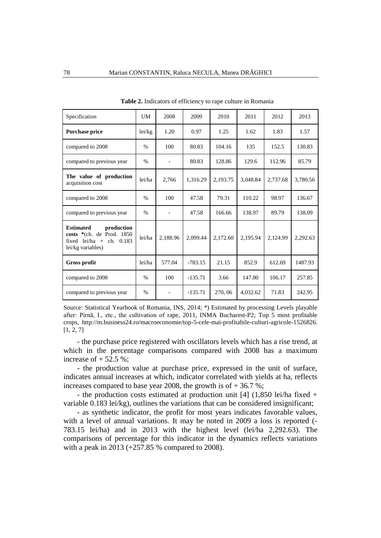| Specification                                                                                                     | UM     | 2008     | 2009      | 2010     | 2011     | 2012     | 2013     |
|-------------------------------------------------------------------------------------------------------------------|--------|----------|-----------|----------|----------|----------|----------|
| <b>Purchase price</b>                                                                                             | lei/kg | 1.20     | 0.97      | 1.25     | 1.62     | 1.83     | 1.57     |
| compared to 2008                                                                                                  | $\%$   | 100      | 80.83     | 104.16   | 135      | 152.5    | 130.83   |
| compared to previous year                                                                                         | $\%$   |          | 80.83     | 128.86   | 129.6    | 112.96   | 85.79    |
| The value of production<br>acquisition cost                                                                       | lei/ha | 2.766    | 1.316.29  | 2.193.75 | 3.048.84 | 2.737.68 | 3,780.56 |
| compared to 2008                                                                                                  | $\%$   | 100      | 47.58     | 79.31    | 110.22   | 98.97    | 136.67   |
| compared to previous year                                                                                         | $\%$   |          | 47.58     | 166.66   | 138.97   | 89.79    | 138.09   |
| <b>Estimated</b><br>production<br>costs *(ch. de Prod. 1850<br>fixed $lei/ha +$<br>ch. 0.183<br>lei/kg variables) | lei/ha | 2,188.96 | 2,099.44  | 2,172.60 | 2,195.94 | 2,124.99 | 2,292.63 |
| <b>Gross profit</b>                                                                                               | lei/ha | 577.04   | $-783.15$ | 21.15    | 852.9    | 612.69   | 1487.93  |
| compared to 2008                                                                                                  | $\%$   | 100      | $-135.71$ | 3.66     | 147.80   | 106.17   | 257.85   |
| compared to previous year                                                                                         | $\%$   |          | $-135.71$ | 270, 06  | 4,032.62 | 71.83    | 242.95   |

**Table 2.** Indicators of efficiency to rape culture in Romania

Source: Statistical Yearbook of Romania, INS, 2014; \*) Estimated by processing Levels playable after: Pirnă, I., etc., the cultivation of rape, 2011, INMA Bucharest-P2; Top 5 most profitable crops, http://m.business24.ro/macroeconomie/top-5-cele-mai-profitabile-culturi-agricole-1526826. [1, 2, 7]

- the purchase price registered with oscillators levels which has a rise trend, at which in the percentage comparisons compared with 2008 has a maximum increase of  $+52.5$  %;

- the production value at purchase price, expressed in the unit of surface, indicates annual increases at which, indicator correlated with yields at ha, reflects increases compared to base year 2008, the growth is of  $+36.7$ %;

- the production costs estimated at production unit [4] (1,850 lei/ha fixed + variable 0.183 lei/kg), outlines the variations that can be considered insignificant;

- as synthetic indicator, the profit for most years indicates favorable values, with a level of annual variations. It may be noted in 2009 a loss is reported (- 783.15 lei/ha) and in 2013 with the highest level (lei/ha 2,292.63). The comparisons of percentage for this indicator in the dynamics reflects variations with a peak in 2013 (+257.85 % compared to 2008).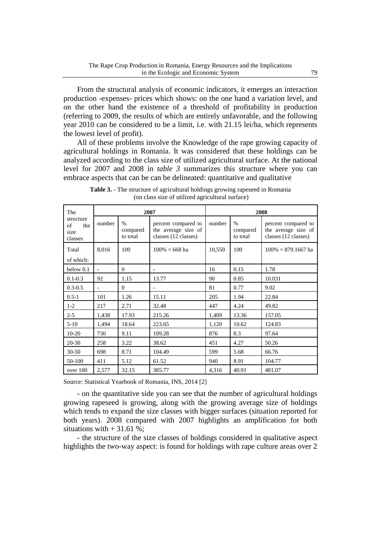From the structural analysis of economic indicators, it emerges an interaction production -expenses- prices which shows: on the one hand a variation level, and on the other hand the existence of a threshold of profitability in production (referring to 2009, the results of which are entirely unfavorable, and the following year 2010 can be considered to be a limit, i.e. with 21.15 lei/ha, which represents the lowest level of profit).

All of these problems involve the Knowledge of the rape growing capacity of agricultural holdings in Romania. It was considered that these holdings can be analyzed according to the class size of utilized agricultural surface. At the national level for 2007 and 2008 in *table 3* summarizes this structure where you can embrace aspects that can be can be delineated: quantitative and qualitative

| The                                       |                          |                                       | 2007                                                               | 2008   |                              |                                                                    |  |
|-------------------------------------------|--------------------------|---------------------------------------|--------------------------------------------------------------------|--------|------------------------------|--------------------------------------------------------------------|--|
| structure<br>of<br>the<br>size<br>classes | number                   | $\frac{0}{0}$<br>compared<br>to total | percent compared to<br>the average size of<br>classes (12 classes) | number | $\%$<br>compared<br>to total | percent compared to<br>the average size of<br>classes (12 classes) |  |
| Total<br>of which:                        | 8,016                    | 100                                   | $100\% = 668$ ha                                                   | 10,550 | 100                          | $100\% = 879.1667$ ha                                              |  |
| below 0.1                                 | $\overline{\phantom{a}}$ | $\overline{0}$                        | $\overline{\phantom{a}}$                                           | 16     | 0.15                         | 1.78                                                               |  |
| $0.1 - 0.3$                               | 92                       | 1.15                                  | 13.77                                                              | 90     | 0.85                         | 10.031                                                             |  |
| $0.3 - 0.5$                               | $\overline{\phantom{0}}$ | $\Omega$                              | $\overline{\phantom{a}}$                                           | 81     | 0.77                         | 9.02                                                               |  |
| $0.5 - 1$                                 | 101                      | 1.26                                  | 15.11                                                              | 205    | 1.94                         | 22.84                                                              |  |
| $1-2$                                     | 217                      | 2.71                                  | 32.48                                                              | 447    | 4.24                         | 49.82                                                              |  |
| $2 - 5$                                   | 1,438                    | 17.93                                 | 215.26                                                             | 1,409  | 13.36                        | 157.05                                                             |  |
| $5 - 10$                                  | 1,494                    | 18.64                                 | 223.65                                                             | 1,120  | 10.62                        | 124.83                                                             |  |
| $10 - 20$                                 | 730                      | 9.11                                  | 109.28                                                             | 876    | 8.3                          | 97.64                                                              |  |
| 20-30                                     | 258                      | 3.22                                  | 38.62                                                              | 451    | 4.27                         | 50.26                                                              |  |
| $30 - 50$                                 | 698                      | 8.71                                  | 104.49                                                             | 599    | 5.68                         | 66.76                                                              |  |
| 50-100                                    | 411                      | 5.12                                  | 61.52                                                              | 940    | 8.91                         | 104.77                                                             |  |
| over 100                                  | 2,577                    | 32.15                                 | 385.77                                                             | 4,316  | 40.91                        | 481.07                                                             |  |

**Table 3.** - The structure of agricultural holdings growing rapeseed in Romania (on class size of utilized agricultural surface)

Source: Statistical Yearbook of Romania, INS, 2014 [2]

- on the quantitative side you can see that the number of agricultural holdings growing rapeseed is growing, along with the growing average size of holdings which tends to expand the size classes with bigger surfaces (situation reported for both years). 2008 compared with 2007 highlights an amplification for both situations with  $+31.61%$ ;

- the structure of the size classes of holdings considered in qualitative aspect highlights the two-way aspect: is found for holdings with rape culture areas over 2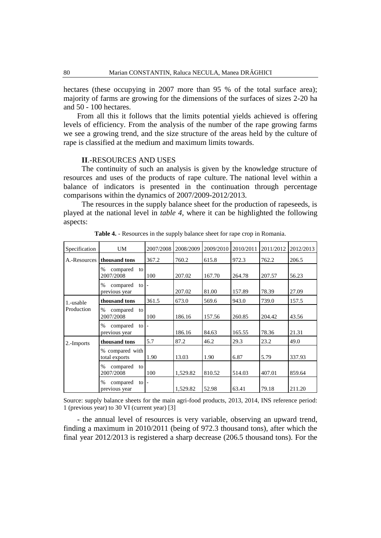hectares (these occupying in 2007 more than 95 % of the total surface area); majority of farms are growing for the dimensions of the surfaces of sizes 2-20 ha and 50 - 100 hectares.

From all this it follows that the limits potential yields achieved is offering levels of efficiency. From the analysis of the number of the rape growing farms we see a growing trend, and the size structure of the areas held by the culture of rape is classified at the medium and maximum limits towards.

#### **II**.-RESOURCES AND USES

The continuity of such an analysis is given by the knowledge structure of resources and uses of the products of rape culture. The national level within a balance of indicators is presented in the continuation through percentage comparisons within the dynamics of 2007/2009-2012/2013.

The resources in the supply balance sheet for the production of rapeseeds, is played at the national level in *table 4*, where it can be highlighted the following aspects:

| Specification | UM.                                                                   | 2007/2008                | 2008/2009 | 2009/2010 | 2010/2011 | 2011/2012 | 2012/2013 |
|---------------|-----------------------------------------------------------------------|--------------------------|-----------|-----------|-----------|-----------|-----------|
| A.-Resources  | thousand tons                                                         | 367.2                    | 760.2     | 615.8     | 972.3     | 762.2     | 206.5     |
|               | compared<br>$\%$<br>to<br>2007/2008                                   | 100                      | 207.02    | 167.70    | 264.78    | 207.57    | 56.23     |
|               | compared<br>$\%$<br>$\overline{a}$ to $\overline{a}$<br>previous year |                          | 207.02    | 81.00     | 157.89    | 78.39     | 27.09     |
| 1.-usable     | thousand tons                                                         | 361.5                    | 673.0     | 569.6     | 943.0     | 739.0     | 157.5     |
| Production    | compared<br>$\%$<br>to<br>2007/2008                                   | 100                      | 186.16    | 157.56    | 260.85    | 204.42    | 43.56     |
|               | compared<br>$\%$<br>to l<br>previous year                             | $\overline{\phantom{a}}$ | 186.16    | 84.63     | 165.55    | 78.36     | 21.31     |
| 2.-Imports    | thousand tons                                                         | 5.7                      | 87.2      | 46.2      | 29.3      | 23.2      | 49.0      |
|               | % compared with<br>total exports                                      | 1.90                     | 13.03     | 1.90      | 6.87      | 5.79      | 337.93    |
|               | compared<br>$\%$<br>to<br>2007/2008                                   | 100                      | 1,529.82  | 810.52    | 514.03    | 407.01    | 859.64    |
|               | compared<br>$\%$<br>to<br>previous year                               | $\overline{\phantom{a}}$ | 1,529.82  | 52.98     | 63.41     | 79.18     | 211.20    |

**Table 4.** - Resources in the supply balance sheet for rape crop in Romania.

Source: supply balance sheets for the main agri-food products, 2013, 2014, INS reference period: 1 (previous year) to 30 VI (current year) [3]

- the annual level of resources is very variable, observing an upward trend, finding a maximum in 2010/2011 (being of 972.3 thousand tons), after which the final year 2012/2013 is registered a sharp decrease (206.5 thousand tons). For the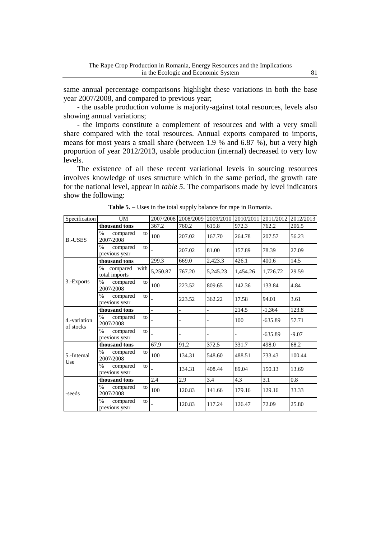same annual percentage comparisons highlight these variations in both the base year 2007/2008, and compared to previous year;

- the usable production volume is majority-against total resources, levels also showing annual variations;

- the imports constitute a complement of resources and with a very small share compared with the total resources. Annual exports compared to imports, means for most years a small share (between 1.9 % and 6.87 %), but a very high proportion of year 2012/2013, usable production (internal) decreased to very low levels.

The existence of all these recent variational levels in sourcing resources involves knowledge of uses structure which in the same period, the growth rate for the national level, appear in *table 5*. The comparisons made by level indicators show the following:

| Specification    | UM                                           | 2007/2008 |                          | 2008/2009 2009/2010 2010/2011 |          | 2011/2012 | 2012/2013 |
|------------------|----------------------------------------------|-----------|--------------------------|-------------------------------|----------|-----------|-----------|
|                  | thousand tons                                | 367.2     | 760.2                    | 615.8                         | 972.3    | 762.2     | 206.5     |
| <b>B.-USES</b>   | $\%$<br>compared<br>to<br>2007/2008          | 100       | 207.02                   | 167.70                        | 264.78   | 207.57    | 56.23     |
|                  | $\%$<br>compared<br>to<br>previous year      |           | 207.02                   | 81.00                         | 157.89   | 78.39     | 27.09     |
|                  | thousand tons                                | 299.3     | 669.0                    | 2,423.3                       | 426.1    | 400.6     | 14.5      |
|                  | with<br>$\%$<br>compared<br>total imports    | 5,250.87  | 767.20                   | 5,245.23                      | 1,454.26 | 1,726.72  | 29.59     |
| 3.-Exports       | $\frac{0}{0}$<br>compared<br>to<br>2007/2008 | 100       | 223.52                   | 809.65                        | 142.36   | 133.84    | 4.84      |
|                  | $\%$<br>compared<br>to<br>previous year      |           | 223.52                   | 362.22                        | 17.58    | 94.01     | 3.61      |
|                  | thousand tons                                |           | $\overline{\phantom{0}}$ |                               | 214.5    | $-1,364$  | 123.8     |
| 4.-variation     | $\%$<br>compared<br>to<br>2007/2008          |           | $\overline{a}$           |                               | 100      | $-635.89$ | 57.71     |
| of stocks<br>Use | $\%$<br>compared<br>to<br>previous year      |           |                          |                               |          | $-635.89$ | $-9.07$   |
|                  | thousand tons                                | 67.9      | 91.2                     | 372.5                         | 331.7    | 498.0     | 68.2      |
| 5.-Internal      | $\%$<br>compared<br>to<br>2007/2008          | 100       | 134.31                   | 548.60                        | 488.51   | 733.43    | 100.44    |
|                  | $\%$<br>compared<br>to<br>previous year      |           | 134.31                   | 408.44                        | 89.04    | 150.13    | 13.69     |
|                  | thousand tons                                | 2.4       | 2.9                      | 3.4                           | 4.3      | 3.1       | 0.8       |
| -seeds           | $\%$<br>compared<br>to<br>2007/2008          | 100       | 120.83                   | 141.66                        | 179.16   | 129.16    | 33.33     |
|                  | $\%$<br>compared<br>to<br>previous year      |           | 120.83                   | 117.24                        | 126.47   | 72.09     | 25.80     |

**Table 5.** – Uses in the total supply balance for rape in Romania.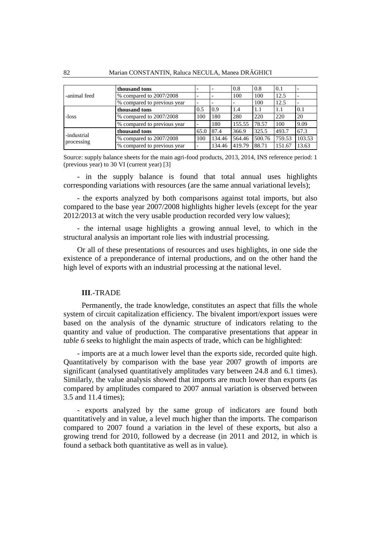|                           | thousand tons               |                          |        | 0.8    | 0.8    | 0.1    |        |
|---------------------------|-----------------------------|--------------------------|--------|--------|--------|--------|--------|
| -animal feed              | % compared to 2007/2008     |                          |        | 100    | 100    | 12.5   |        |
|                           | % compared to previous year | $\overline{\phantom{0}}$ |        |        | 100    | 12.5   |        |
|                           | thousand tons               | 0.5                      | 0.9    | 1.4    | 1.1    | 1.1    | 0.1    |
| i-loss                    | % compared to 2007/2008     | 100                      | 180    | 280    | 220    | 220    | 20     |
|                           | % compared to previous year |                          | 180    | 155.55 | 78.57  | 100    | 9.09   |
| -industrial<br>processing | thousand tons               | 65.0                     | 87.4   | 366.9  | 325.5  | 493.7  | 67.3   |
|                           | % compared to 2007/2008     | 100                      | 134.46 | 564.46 | 500.76 | 759.53 | 103.53 |
|                           | % compared to previous year |                          | 134.46 | 419.79 | 88.71  | 151.67 | 13.63  |

Source: supply balance sheets for the main agri-food products, 2013, 2014, INS reference period: 1 (previous year) to 30 VI (current year) [3]

- in the supply balance is found that total annual uses highlights corresponding variations with resources (are the same annual variational levels);

- the exports analyzed by both comparisons against total imports, but also compared to the base year 2007/2008 highlights higher levels (except for the year 2012/2013 at witch the very usable production recorded very low values);

- the internal usage highlights a growing annual level, to which in the structural analysis an important role lies with industrial processing.

Or all of these presentations of resources and uses highlights, in one side the existence of a preponderance of internal productions, and on the other hand the high level of exports with an industrial processing at the national level.

#### **III**.-TRADE

Permanently, the trade knowledge, constitutes an aspect that fills the whole system of circuit capitalization efficiency. The bivalent import/export issues were based on the analysis of the dynamic structure of indicators relating to the quantity and value of production. The comparative presentations that appear in *table 6* seeks to highlight the main aspects of trade, which can be highlighted:

- imports are at a much lower level than the exports side, recorded quite high. Quantitatively by comparison with the base year 2007 growth of imports are significant (analysed quantitatively amplitudes vary between 24.8 and 6.1 times). Similarly, the value analysis showed that imports are much lower than exports (as compared by amplitudes compared to 2007 annual variation is observed between 3.5 and 11.4 times);

- exports analyzed by the same group of indicators are found both quantitatively and in value, a level much higher than the imports. The comparison compared to 2007 found a variation in the level of these exports, but also a growing trend for 2010, followed by a decrease (in 2011 and 2012, in which is found a setback both quantitative as well as in value).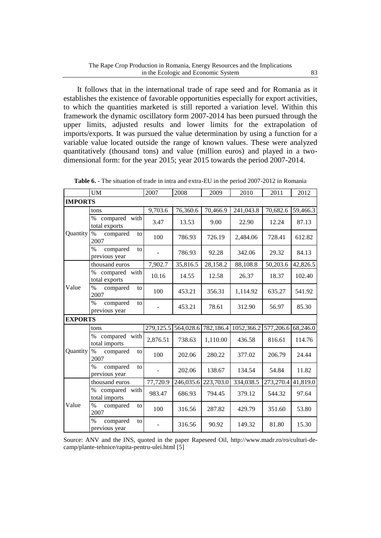It follows that in the international trade of rape seed and for Romania as it establishes the existence of favorable opportunities especially for export activities, to which the quantities marketed is still reported a variation level. Within this framework the dynamic oscillatory form 2007-2014 has been pursued through the upper limits, adjusted results and lower limits for the extrapolation of imports/exports. It was pursued the value determination by using a function for a variable value located outside the range of known values. These were analyzed quantitatively (thousand tons) and value (million euros) and played in a twodimensional form: for the year 2015; year 2015 towards the period 2007-2014.

|                | <b>UM</b>                                        | 2007      | 2008      | 2009      | 2010       | 2011      | 2012     |
|----------------|--------------------------------------------------|-----------|-----------|-----------|------------|-----------|----------|
| <b>IMPORTS</b> |                                                  |           |           |           |            |           |          |
|                | tons                                             | 9,703.6   | 76,360.6  | 70,466.9  | 241,043.8  | 70,682.6  | 59,466.3 |
|                | $\%$<br>compared with<br>total exports           | 3.47      | 13.53     | 9.00      | 22.90      | 12.24     | 87.13    |
| Quantity       | $\%$<br>compared<br>to<br>2007                   | 100       | 786.93    | 726.19    | 2,484.06   | 728.41    | 612.82   |
|                | $\%$<br>compared<br>to<br>previous year          |           | 786.93    | 92.28     | 342.06     | 29.32     | 84.13    |
|                | thousand euros                                   | 7,902.7   | 35,816.5  | 28,158.2  | 88,108.8   | 50,203.6  | 42,826.5 |
|                | compared with<br>$\%$<br>total exports           | 10.16     | 14.55     | 12.58     | 26.37      | 18.37     | 102.40   |
| Value          | $\%$<br>compared<br>to<br>2007                   | 100       | 453.21    | 356.31    | 1,114.92   | 635.27    | 541.92   |
|                | $\%$<br>compared<br>to<br>previous year          |           | 453.21    | 78.61     | 312.90     | 56.97     | 85.30    |
| <b>EXPORTS</b> |                                                  |           |           |           |            |           |          |
|                | tons                                             | 279,125.5 | 564,028.6 | 782,186.4 | 1052,366.2 | 577,206.6 | 68,246.0 |
|                | compared with<br>$\%$<br>total imports           | 2,876.51  | 738.63    | 1,110.00  | 436.58     | 816.61    | 114.76   |
| Quantity       | $\%$<br>compared<br>to<br>2007                   | 100       | 202.06    | 280.22    | 377.02     | 206.79    | 24.44    |
|                | $\frac{0}{0}$<br>compared<br>to<br>previous year |           | 202.06    | 138.67    | 134.54     | 54.84     | 11.82    |
|                | thousand euros                                   | 77,720.9  | 246,035.6 | 223,703.0 | 334,038.5  | 273,270.4 | 41,819.0 |
|                | compared with<br>$\%$<br>total imports           | 983.47    | 686.93    | 794.45    | 379.12     | 544.32    | 97.64    |
| Value          | $\%$<br>compared<br>to<br>2007                   | 100       | 316.56    | 287.82    | 429.79     | 351.60    | 53.80    |
|                | $\frac{0}{0}$<br>compared<br>to<br>previous year |           | 316.56    | 90.92     | 149.32     | 81.80     | 15.30    |

| <b>Table 6.</b> - The situation of trade in intra and extra-EU in the period 2007-2012 in Romania |  |
|---------------------------------------------------------------------------------------------------|--|
|---------------------------------------------------------------------------------------------------|--|

Source: ANV and the INS, quoted in the paper Rapeseed Oil, http://www.madr.ro/ro/culturi-decamp/plante-tehnice/rapita-pentru-ulei.html [5]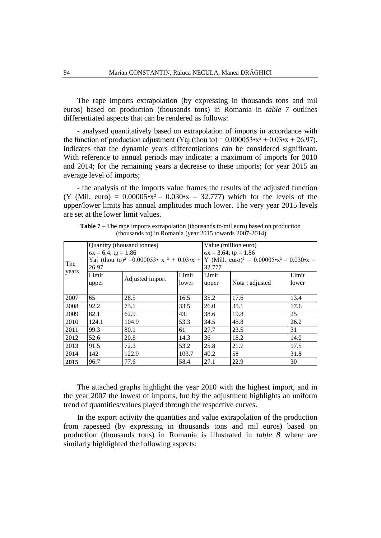The rape imports extrapolation (by expressing in thousands tons and mil euros) based on production (thousands tons) in Romania in *table 7* outlines differentiated aspects that can be rendered as follows:

- analysed quantitatively based on extrapolation of imports in accordance with the function of production adjustment (Yaj (thou to) =  $0.000053 \cdot x^2 + 0.03 \cdot x + 26.97$ ), indicates that the dynamic years differentiations can be considered significant. With reference to annual periods may indicate: a maximum of imports for 2010 and 2014; for the remaining years a decrease to these imports; for year 2015 an average level of imports;

- the analysis of the imports value frames the results of the adjusted function (Y (Mil. euro) =  $0.00005 \cdot x^2 - 0.030 \cdot x - 32.777$ ) which for the levels of the upper/lower limits has annual amplitudes much lower. The very year 2015 levels are set at the lower limit values.

|              |                              | Quantity (thousand tonnes)                                          |       | Value (million euro)            |                                                                     |       |  |  |
|--------------|------------------------------|---------------------------------------------------------------------|-------|---------------------------------|---------------------------------------------------------------------|-------|--|--|
|              | $\sigma x = 6.4$ ; tp = 1.86 |                                                                     |       | $\sigma x = 3{,}64$ ; tp = 1.86 |                                                                     |       |  |  |
| The<br>years |                              | Yaj (thou to) <sup>2</sup> = 0.000053 • x <sup>2</sup> + 0.03 • x + |       |                                 | Y (Mill. euro) <sup>2</sup> = $0.00005 \cdot x^2 - 0.030 \cdot x$ – |       |  |  |
|              | 26.97                        |                                                                     |       | 32.777                          |                                                                     |       |  |  |
|              | Limit                        |                                                                     |       | Limit                           |                                                                     | Limit |  |  |
|              | upper                        | Adjusted import                                                     | lower | upper                           | Nota t adjusted                                                     | lower |  |  |
|              |                              |                                                                     |       |                                 |                                                                     |       |  |  |
| 2007         | 65                           | 28.5                                                                | 16.5  | 35.2                            | 17.6                                                                | 13.4  |  |  |
| 2008         | 92.2                         | 73.1                                                                | 33.5  | 26.0                            | 35.1                                                                | 17.6  |  |  |
| 2009         | 82.1                         | 62.9                                                                | 43.   | 38.6                            | 19.8                                                                | 25    |  |  |
| 2010         | 124.1                        | 104.9                                                               | 53.3  | 34.5                            | 48.8                                                                | 26.2  |  |  |
| 2011         | 99.3                         | 80.1                                                                | 61    | 27.7                            | 23.5                                                                | 31    |  |  |
| 2012         | 52.6                         | 20.8                                                                | 14.3  | 36                              | 18.2                                                                | 14.0  |  |  |
| 2013         | 91.5                         | 72.3                                                                | 53.2  | 25.8                            | 21.7                                                                | 17.5  |  |  |
| 2014         | 142                          | 122.9                                                               | 103.7 | 40.2                            | 58                                                                  | 31.8  |  |  |
| 2015         | 96.7                         | 77.6                                                                | 58.4  | 27.1                            | 22.9                                                                | 30    |  |  |

**Table 7** – The rape imports extrapolation (thousands to/mil euro) based on production (thousands to) in Romania (year 2015 towards 2007-2014)

The attached graphs highlight the year 2010 with the highest import, and in the year 2007 the lowest of imports, but by the adjustment highlights an uniform trend of quantities/values played through the respective curves.

In the export activity the quantities and value extrapolation of the production from rapeseed (by expressing in thousands tons and mil euros) based on production (thousands tons) in Romania is illustrated in *table 8* where are similarly highlighted the following aspects: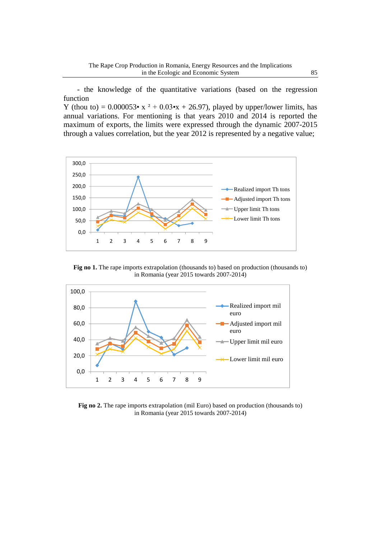- the knowledge of the quantitative variations (based on the regression function

Y (thou to) =  $0.000053 \cdot x^2 + 0.03 \cdot x + 26.97$ ), played by upper/lower limits, has annual variations. For mentioning is that years 2010 and 2014 is reported the maximum of exports, the limits were expressed through the dynamic 2007-2015 through a values correlation, but the year 2012 is represented by a negative value;



**Fig no 1.** The rape imports extrapolation (thousands to) based on production (thousands to) in Romania (year 2015 towards 2007-2014)



**Fig no 2.** The rape imports extrapolation (mil Euro) based on production (thousands to) in Romania (year 2015 towards 2007-2014)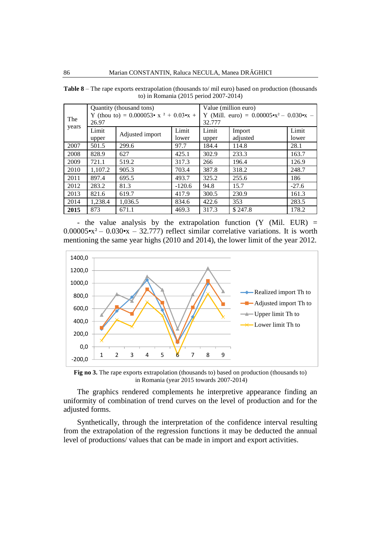| The   | 26.97          | Quantity (thousand tons)<br>Y (thou to) = $0.000053 \cdot x^2 + 0.03 \cdot x +$ |                | Value (million euro)<br>Y (Mill. euro) = $0.00005 \cdot x^2 - 0.030 \cdot x$ –<br>32.777 |                    |                |  |
|-------|----------------|---------------------------------------------------------------------------------|----------------|------------------------------------------------------------------------------------------|--------------------|----------------|--|
| years | Limit<br>upper | Adjusted import                                                                 | Limit<br>lower | Limit<br>upper                                                                           | Import<br>adjusted | Limit<br>lower |  |
| 2007  | 501.5          | 299.6                                                                           | 97.7           | 184.4                                                                                    | 114.8              | 28.1           |  |
| 2008  | 828.9          | 627                                                                             | 425.1          | 302.9                                                                                    | 233.3              | 163.7          |  |
| 2009  | 721.1          | 519.2                                                                           | 317.3          | 266                                                                                      | 196.4              | 126.9          |  |
| 2010  | 1,107.2        | 905.3                                                                           | 703.4          | 387.8                                                                                    | 318.2              | 248.7          |  |
| 2011  | 897.4          | 695.5                                                                           | 493.7          | 325.2                                                                                    | 255.6              | 186            |  |
| 2012  | 283.2          | 81.3                                                                            | $-120.6$       | 94.8                                                                                     | 15.7               | $-27.6$        |  |
| 2013  | 821.6          | 619.7                                                                           | 417.9          | 300.5                                                                                    | 230.9              | 161.3          |  |
| 2014  | 1,238.4        | 1.036.5                                                                         | 834.6          | 422.6                                                                                    | 353                | 283.5          |  |
| 2015  | 873            | 671.1                                                                           | 469.3          | 317.3                                                                                    | \$247.8            | 178.2          |  |

**Table 8** – The rape exports eextrapolation (thousands to/ mil euro) based on production (thousands to) in Romania (2015 period 2007-2014)

- the value analysis by the extrapolation function  $(Y \nvert \text{Mil. EUR})$  =  $0.00005 \cdot x^2 - 0.030 \cdot x - 32.777$  reflect similar correlative variations. It is worth mentioning the same year highs (2010 and 2014), the lower limit of the year 2012.



**Fig no 3.** The rape exports extrapolation (thousands to) based on production (thousands to) in Romania (year 2015 towards 2007-2014)

The graphics rendered complements he interpretive appearance finding an uniformity of combination of trend curves on the level of production and for the adjusted forms.

Synthetically, through the interpretation of the confidence interval resulting from the extrapolation of the regression functions it may be deducted the annual level of productions/ values that can be made in import and export activities.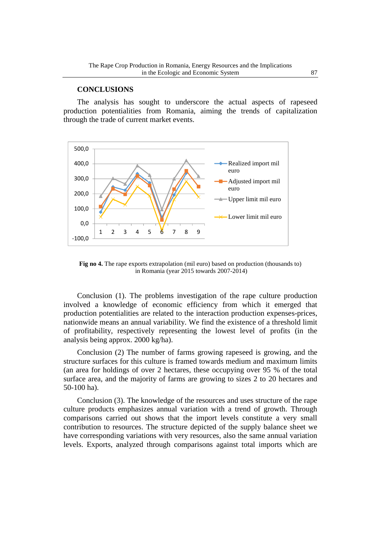## **CONCLUSIONS**

The analysis has sought to underscore the actual aspects of rapeseed production potentialities from Romania, aiming the trends of capitalization through the trade of current market events.



**Fig no 4.** The rape exports extrapolation (mil euro) based on production (thousands to) in Romania (year 2015 towards 2007-2014)

Conclusion (1). The problems investigation of the rape culture production involved a knowledge of economic efficiency from which it emerged that production potentialities are related to the interaction production expenses-prices, nationwide means an annual variability. We find the existence of a threshold limit of profitability, respectively representing the lowest level of profits (in the analysis being approx. 2000 kg/ha).

Conclusion (2) The number of farms growing rapeseed is growing, and the structure surfaces for this culture is framed towards medium and maximum limits (an area for holdings of over 2 hectares, these occupying over 95 % of the total surface area, and the majority of farms are growing to sizes 2 to 20 hectares and 50-100 ha).

Conclusion (3). The knowledge of the resources and uses structure of the rape culture products emphasizes annual variation with a trend of growth. Through comparisons carried out shows that the import levels constitute a very small contribution to resources. The structure depicted of the supply balance sheet we have corresponding variations with very resources, also the same annual variation levels. Exports, analyzed through comparisons against total imports which are